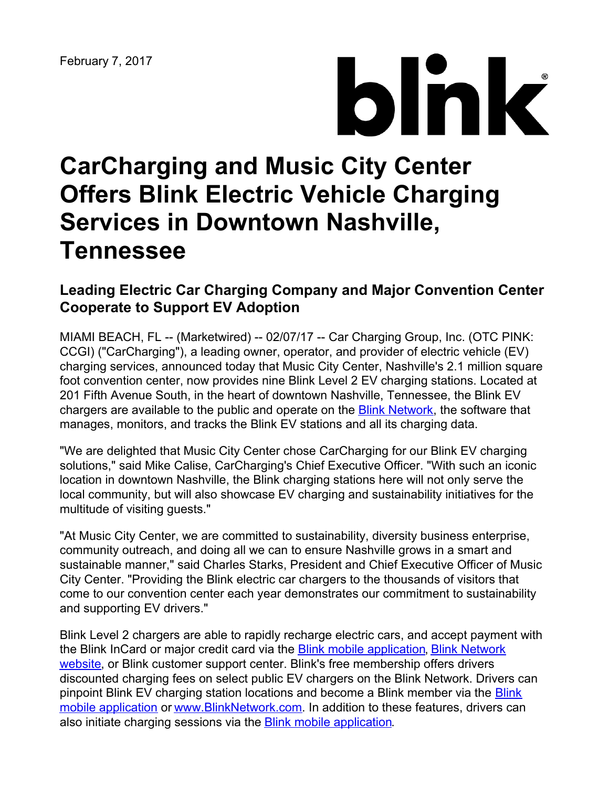# bink

## **CarCharging and Music City Center Offers Blink Electric Vehicle Charging Services in Downtown Nashville, Tennessee**

### **Leading Electric Car Charging Company and Major Convention Center Cooperate to Support EV Adoption**

MIAMI BEACH, FL -- (Marketwired) -- 02/07/17 -- Car Charging Group, Inc. (OTC PINK: CCGI) ("CarCharging"), a leading owner, operator, and provider of electric vehicle (EV) charging services, announced today that Music City Center, Nashville's 2.1 million square foot convention center, now provides nine Blink Level 2 EV charging stations. Located at 201 Fifth Avenue South, in the heart of downtown Nashville, Tennessee, the Blink EV chargers are available to the public and operate on the **Blink [Network](http://ctt.marketwire.com/?release=1295956&id=10913461&type=1&url=http%3a%2f%2fwww.blinknetwork.com%2f)**, the software that manages, monitors, and tracks the Blink EV stations and all its charging data.

"We are delighted that Music City Center chose CarCharging for our Blink EV charging solutions," said Mike Calise, CarCharging's Chief Executive Officer. "With such an iconic location in downtown Nashville, the Blink charging stations here will not only serve the local community, but will also showcase EV charging and sustainability initiatives for the multitude of visiting guests."

"At Music City Center, we are committed to sustainability, diversity business enterprise, community outreach, and doing all we can to ensure Nashville grows in a smart and sustainable manner," said Charles Starks, President and Chief Executive Officer of Music City Center. "Providing the Blink electric car chargers to the thousands of visitors that come to our convention center each year demonstrates our commitment to sustainability and supporting EV drivers."

Blink Level 2 chargers are able to rapidly recharge electric cars, and accept payment with the Blink InCard or major credit card via the **Blink mobile [application](http://ctt.marketwire.com/?release=1295956&id=10913464&type=1&url=https%3a%2f%2fitunes.apple.com%2fus%2fapp%2fblink-mobile%2fid456816613%3fls%3d1%26mt%3d8)**, **Blink Network** website, or Blink customer support center. Blink's free [membership](http://ctt.marketwire.com/?release=1295956&id=10913467&type=1&url=http%3a%2f%2fwww.blinknetwork.com%2f) offers drivers discounted charging fees on select public EV chargers on the Blink Network. Drivers can pinpoint Blink EV charging station locations and become a Blink member via the **Blink** mobile application or [www.BlinkNetwork.com.](http://ctt.marketwire.com/?release=1295956&id=10913470&type=1&url=https%3a%2f%2fitunes.apple.com%2fus%2fapp%2fblink-mobile%2fid456816613%3fls%3d1%26mt%3d8) In addition to these features, drivers can also initiate charging sessions via the Blink mobile [application](http://ctt.marketwire.com/?release=1295956&id=10913476&type=1&url=https%3a%2f%2fitunes.apple.com%2fus%2fapp%2fblink-mobile%2fid456816613%3fls%3d1%26mt%3d8).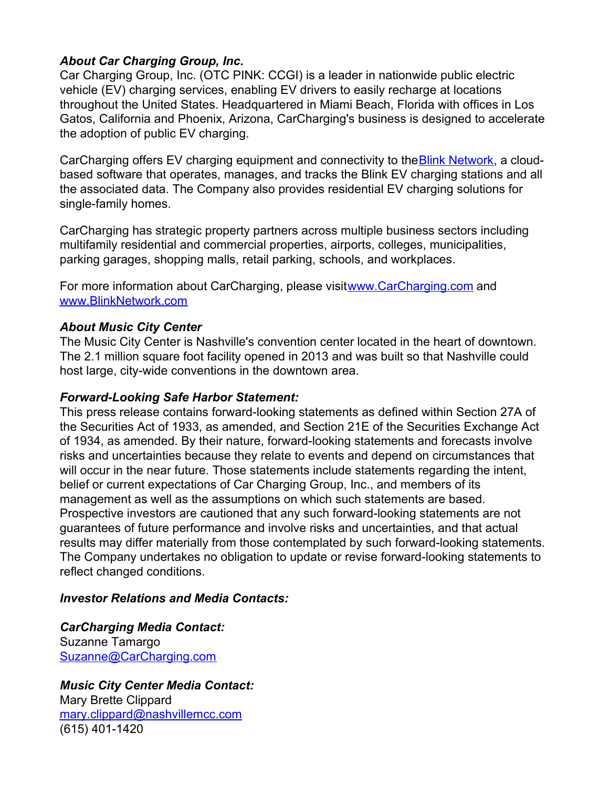#### *About Car Charging Group, Inc.*

Car Charging Group, Inc. (OTC PINK: CCGI) is a leader in nationwide public electric vehicle (EV) charging services, enabling EV drivers to easily recharge at locations throughout the United States. Headquartered in Miami Beach, Florida with offices in Los Gatos, California and Phoenix, Arizona, CarCharging's business is designed to accelerate the adoption of public EV charging.

CarCharging offers EV charging equipment and connectivity to the **Blink [Network](http://ctt.marketwire.com/?release=1295956&id=10913479&type=1&url=http%3a%2f%2fwww.blinknetwork.com%2f)**, a cloudbased software that operates, manages, and tracks the Blink EV charging stations and all the associated data. The Company also provides residential EV charging solutions for single-family homes.

CarCharging has strategic property partners across multiple business sectors including multifamily residential and commercial properties, airports, colleges, municipalities, parking garages, shopping malls, retail parking, schools, and workplaces.

For more information about CarCharging, please visit[www.CarCharging.com](http://ctt.marketwire.com/?release=1295956&id=10913482&type=1&url=http%3a%2f%2fwww.carcharging.com%2f) and [www.BlinkNetwork.com](http://ctt.marketwire.com/?release=1295956&id=10913485&type=1&url=http%3a%2f%2fwww.blinknetwork.com%2f)

#### *About Music City Center*

The Music City Center is Nashville's convention center located in the heart of downtown. The 2.1 million square foot facility opened in 2013 and was built so that Nashville could host large, city-wide conventions in the downtown area.

#### *Forward-Looking Safe Harbor Statement:*

This press release contains forward-looking statements as defined within Section 27A of the Securities Act of 1933, as amended, and Section 21E of the Securities Exchange Act of 1934, as amended. By their nature, forward-looking statements and forecasts involve risks and uncertainties because they relate to events and depend on circumstances that will occur in the near future. Those statements include statements regarding the intent, belief or current expectations of Car Charging Group, Inc., and members of its management as well as the assumptions on which such statements are based. Prospective investors are cautioned that any such forward-looking statements are not guarantees of future performance and involve risks and uncertainties, and that actual results may differ materially from those contemplated by such forward-looking statements. The Company undertakes no obligation to update or revise forward-looking statements to reflect changed conditions.

#### *Investor Relations and Media Contacts:*

*CarCharging Media Contact:* Suzanne Tamargo [Suzanne@CarCharging.com](mailto:Suzanne@CarCharging.com)

*Music City Center Media Contact:* Mary Brette Clippard [mary.clippard@nashvillemcc.com](mailto:mary.clippard@nashvillemcc.com)

(615) 401-1420